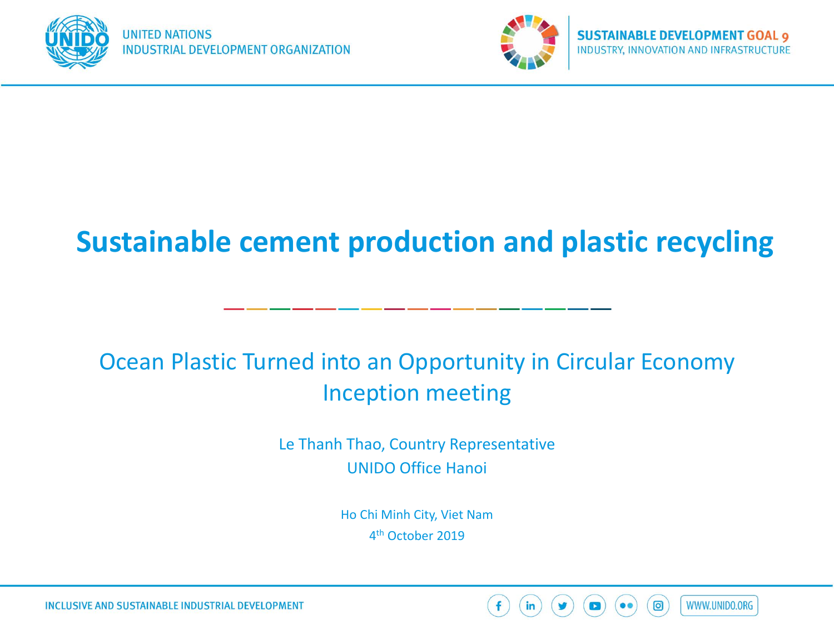



### **Sustainable cement production and plastic recycling**

### Ocean Plastic Turned into an Opportunity in Circular Economy Inception meeting

Le Thanh Thao, Country Representative UNIDO Office Hanoi

> Ho Chi Minh City, Viet Nam 4th October 2019



**INCLUSIVE AND SUSTAINABLE INDUSTRIAL DEVELOPMENT**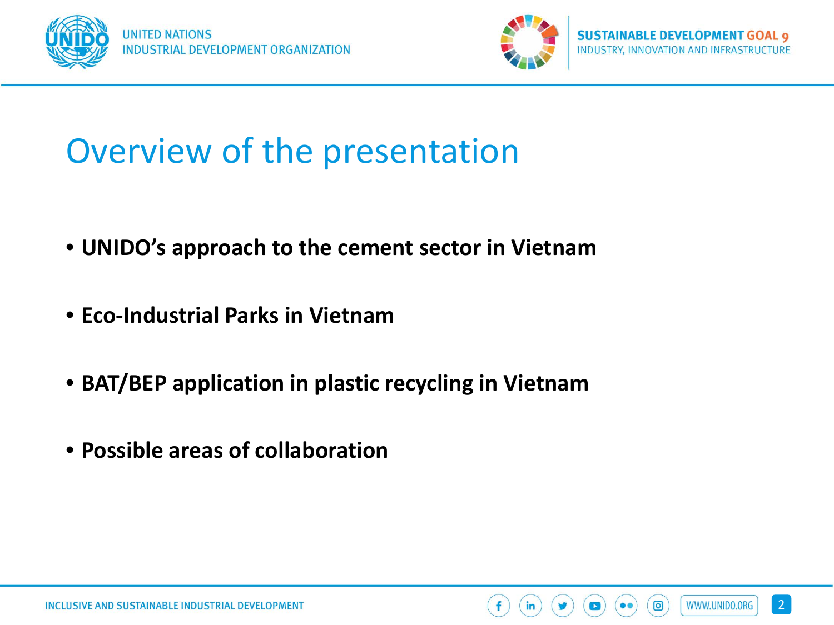



### Overview of the presentation

- **UNIDO's approach to the cement sector in Vietnam**
- **Eco-Industrial Parks in Vietnam**
- **BAT/BEP application in plastic recycling in Vietnam**
- **Possible areas of collaboration**

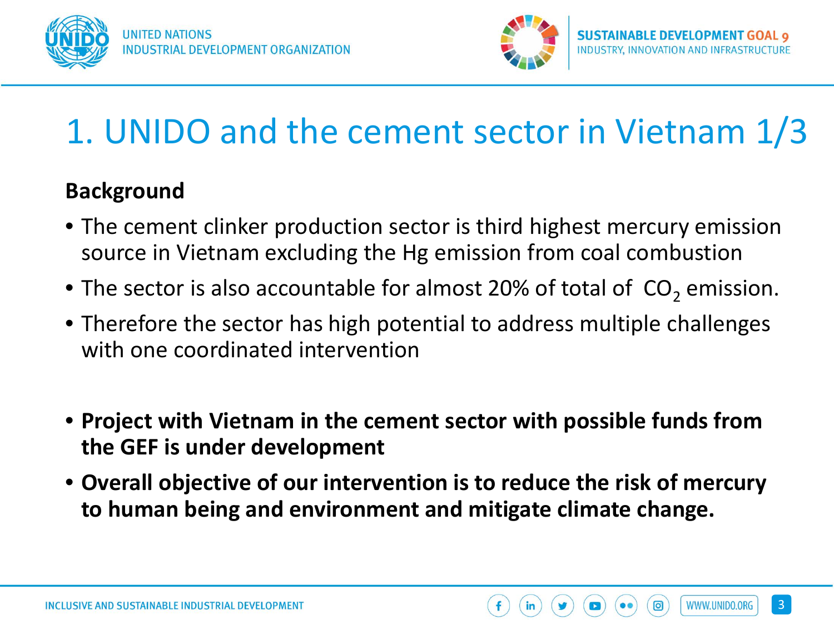



WWW.UNIDO.ORG

ි

## 1. UNIDO and the cement sector in Vietnam 1/3

### **Background**

- The cement clinker production sector is third highest mercury emission source in Vietnam excluding the Hg emission from coal combustion
- The sector is also accountable for almost 20% of total of  $CO<sub>2</sub>$  emission.
- Therefore the sector has high potential to address multiple challenges with one coordinated intervention
- **Project with Vietnam in the cement sector with possible funds from the GEF is under development**
- **Overall objective of our intervention is to reduce the risk of mercury to human being and environment and mitigate climate change.**

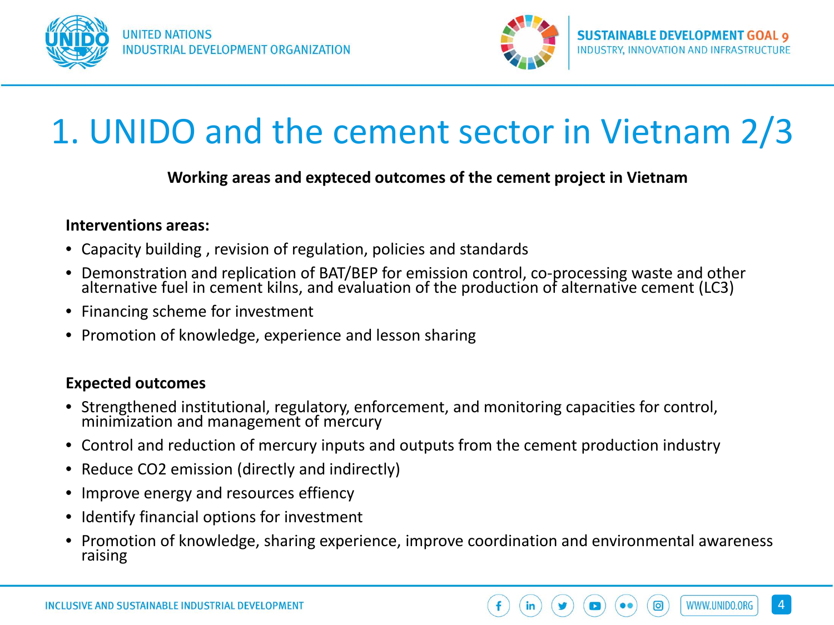



### 1. UNIDO and the cement sector in Vietnam 2/3

#### **Working areas and expteced outcomes of the cement project in Vietnam**

#### **Interventions areas:**

- Capacity building , revision of regulation, policies and standards
- Demonstration and replication of BAT/BEP for emission control, co-processing waste and other alternative fuel in cement kilns, and evaluation of the production of alternative cement (LC3)
- Financing scheme for investment
- Promotion of knowledge, experience and lesson sharing

#### **Expected outcomes**

- Strengthened institutional, regulatory, enforcement, and monitoring capacities for control, minimization and management of mercury
- Control and reduction of mercury inputs and outputs from the cement production industry
- Reduce CO2 emission (directly and indirectly)
- Improve energy and resources effiency
- Identify financial options for investment
- Promotion of knowledge, sharing experience, improve coordination and environmental awareness raising

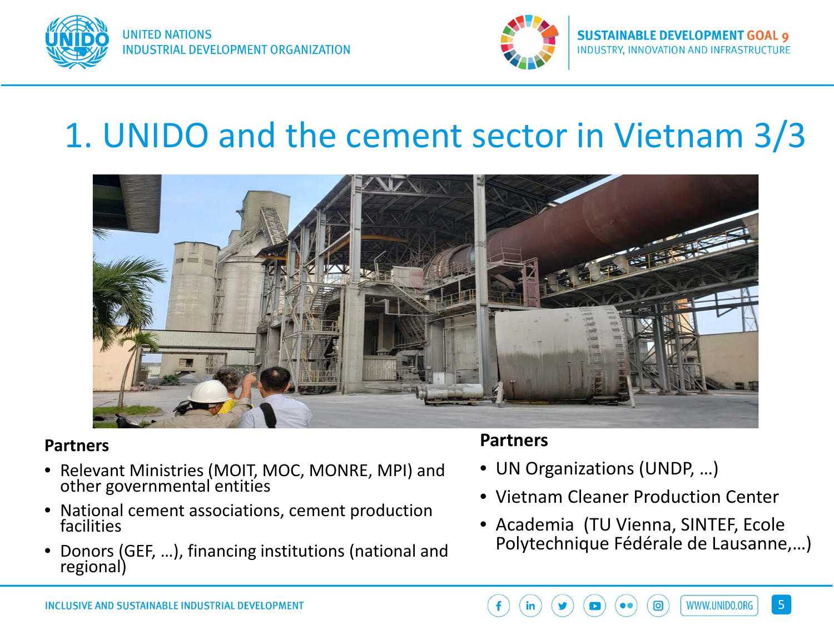



### 1. UNIDO and the cement sector in Vietnam 3/3



#### **Partners**

- Relevant Ministries (MOIT, MOC, MONRE, MPI) and other governmental entities
- National cement associations, cement production facilities
- Donors (GEF, …), financing institutions (national and regional)

#### **Partners**

- UN Organizations (UNDP, …)
- Vietnam Cleaner Production Center
- Academia (TU Vienna, SINTEF, Ecole Polytechnique Fédérale de Lausanne,…)

![](_page_4_Picture_15.jpeg)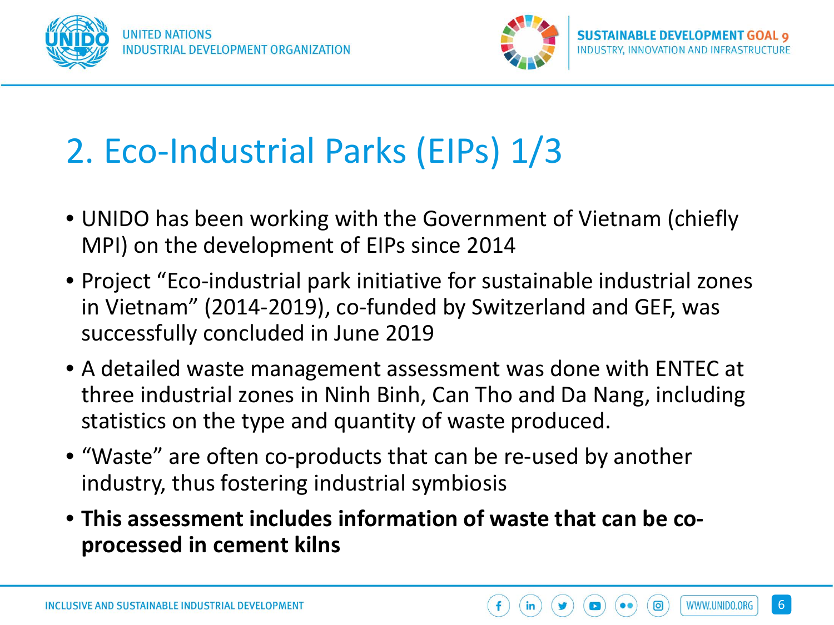![](_page_5_Picture_0.jpeg)

![](_page_5_Picture_2.jpeg)

WWW.UNIDO.ORG

## 2. Eco-Industrial Parks (EIPs) 1/3

- UNIDO has been working with the Government of Vietnam (chiefly MPI) on the development of EIPs since 2014
- Project "Eco-industrial park initiative for sustainable industrial zones in Vietnam" (2014-2019), co-funded by Switzerland and GEF, was successfully concluded in June 2019
- A detailed waste management assessment was done with ENTEC at three industrial zones in Ninh Binh, Can Tho and Da Nang, including statistics on the type and quantity of waste produced.
- "Waste" are often co-products that can be re-used by another industry, thus fostering industrial symbiosis
- **This assessment includes information of waste that can be coprocessed in cement kilns**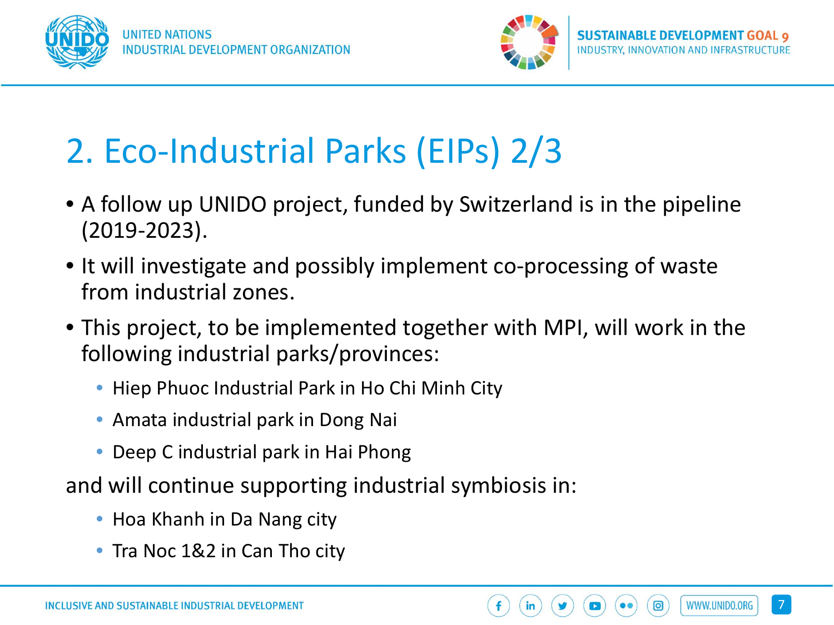![](_page_6_Picture_0.jpeg)

![](_page_6_Picture_2.jpeg)

# 2. Eco-Industrial Parks (EIPs) 2/3

- A follow up UNIDO project, funded by Switzerland is in the pipeline (2019-2023).
- It will investigate and possibly implement co-processing of waste from industrial zones.
- This project, to be implemented together with MPI, will work in the following industrial parks/provinces:
	- Hiep Phuoc Industrial Park in Ho Chi Minh City
	- Amata industrial park in Dong Nai
	- Deep C industrial park in Hai Phong

and will continue supporting industrial symbiosis in:

- Hoa Khanh in Da Nang city
- Tra Noc 1&2 in Can Tho city

![](_page_6_Picture_15.jpeg)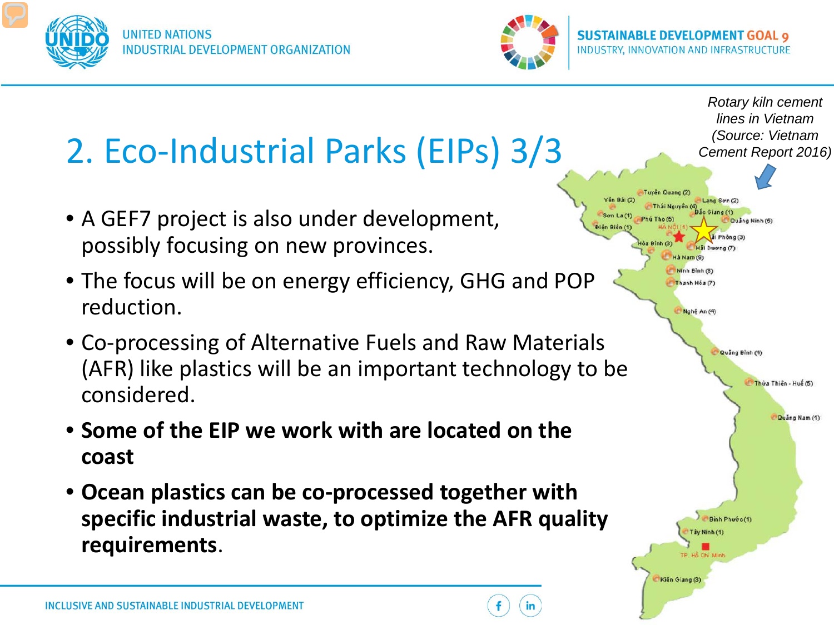![](_page_7_Picture_0.jpeg)

![](_page_7_Picture_2.jpeg)

![](_page_7_Figure_4.jpeg)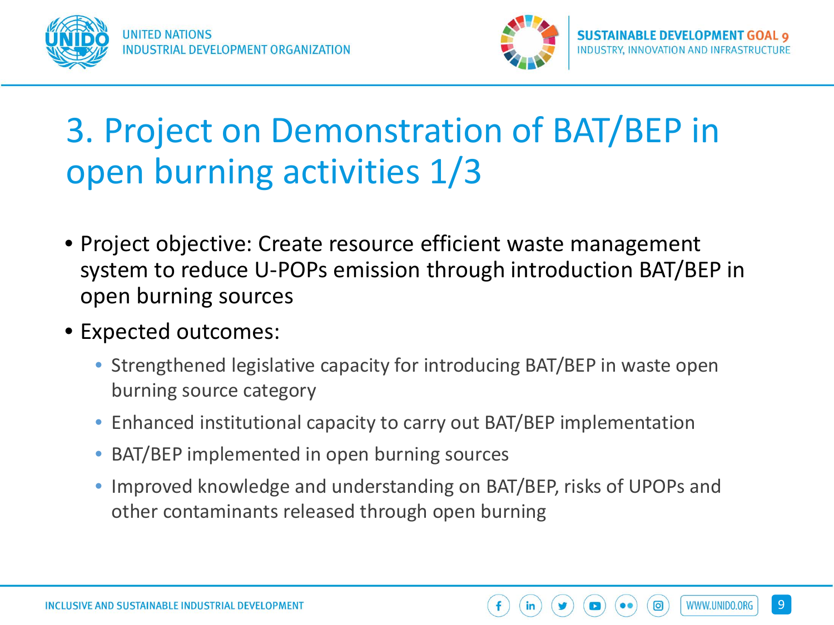![](_page_8_Picture_0.jpeg)

![](_page_8_Picture_2.jpeg)

WWW.UNIDO.ORG

ි

### 3. Project on Demonstration of BAT/BEP in open burning activities 1/3

- Project objective: Create resource efficient waste management system to reduce U-POPs emission through introduction BAT/BEP in open burning sources
- Expected outcomes:
	- Strengthened legislative capacity for introducing BAT/BEP in waste open burning source category
	- Enhanced institutional capacity to carry out BAT/BEP implementation
	- BAT/BEP implemented in open burning sources
	- Improved knowledge and understanding on BAT/BEP, risks of UPOPs and other contaminants released through open burning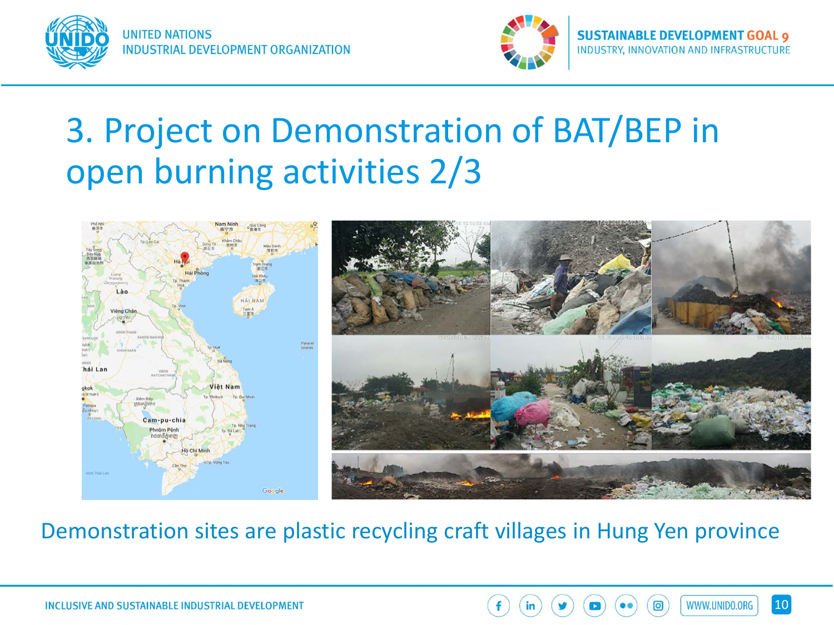![](_page_9_Picture_0.jpeg)

![](_page_9_Picture_2.jpeg)

WWW.UNIDO.ORG

### 3. Project on Demonstration of BAT/BEP in open burning activities 2/3

![](_page_9_Figure_5.jpeg)

### Demonstration sites are plastic recycling craft villages in Hung Yen province

![](_page_9_Picture_7.jpeg)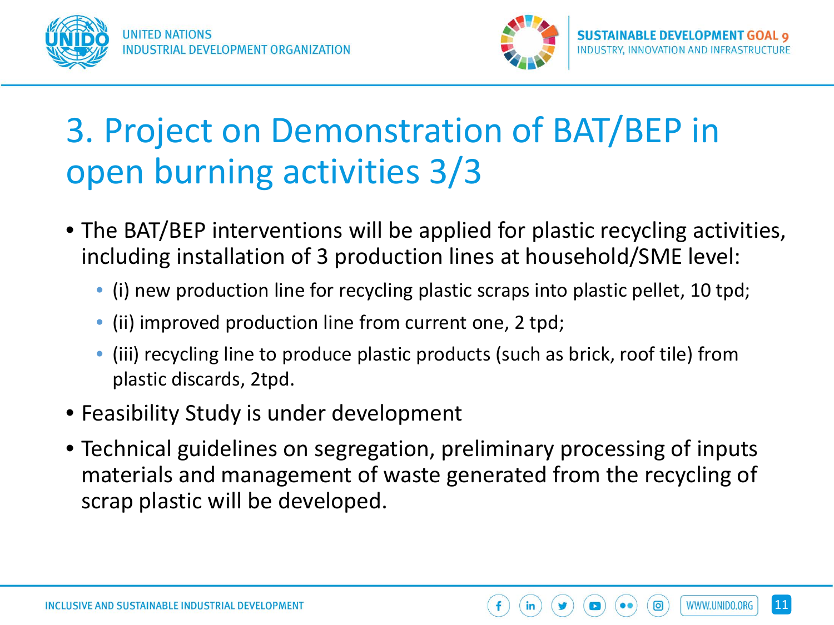![](_page_10_Picture_0.jpeg)

![](_page_10_Picture_2.jpeg)

WWW.UNIDO.ORG

## 3. Project on Demonstration of BAT/BEP in open burning activities 3/3

- The BAT/BEP interventions will be applied for plastic recycling activities, including installation of 3 production lines at household/SME level:
	- (i) new production line for recycling plastic scraps into plastic pellet, 10 tpd;
	- (ii) improved production line from current one, 2 tpd;
	- (iii) recycling line to produce plastic products (such as brick, roof tile) from plastic discards, 2tpd.
- Feasibility Study is under development
- Technical guidelines on segregation, preliminary processing of inputs materials and management of waste generated from the recycling of scrap plastic will be developed.

![](_page_10_Picture_11.jpeg)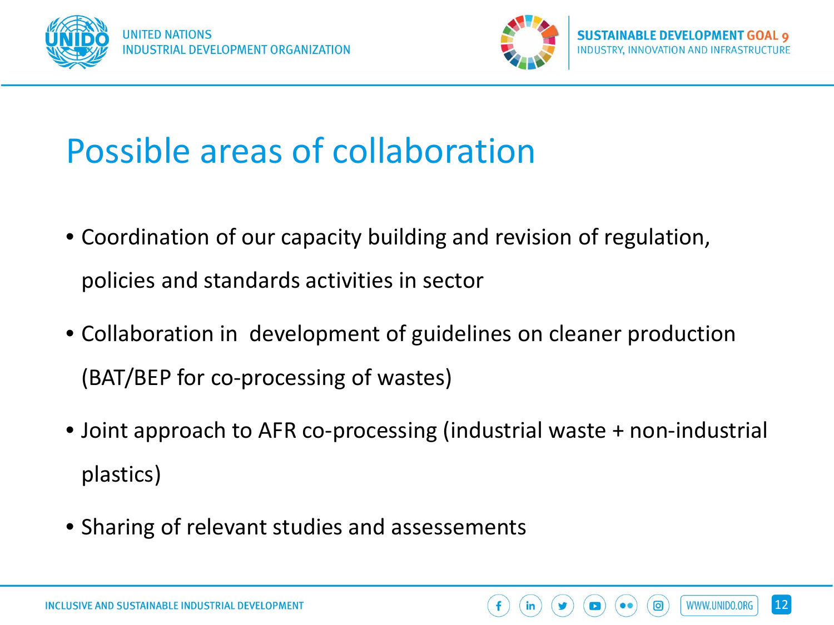![](_page_11_Picture_0.jpeg)

![](_page_11_Picture_2.jpeg)

## Possible areas of collaboration

- Coordination of our capacity building and revision of regulation, policies and standards activities in sector
- Collaboration in development of guidelines on cleaner production (BAT/BEP for co-processing of wastes)
- Joint approach to AFR co-processing (industrial waste + non-industrial plastics)
- Sharing of relevant studies and assessements